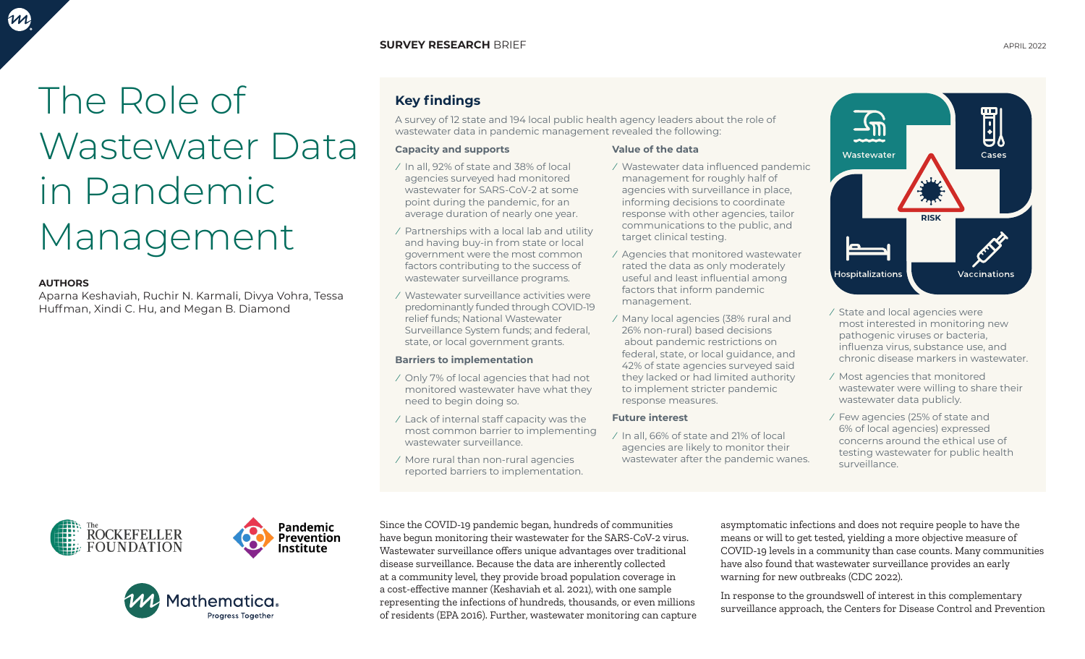# The Role of Wastewater Data in Pandemic Management

### **AUTHORS**

Aparna Keshaviah, Ruchir N. Karmali, Divya Vohra, Tessa Huffman, Xindi C. Hu, and Megan B. Diamond







## **Key findings**

A survey of 12 state and 194 local public health agency leaders about the role of wastewater data in pandemic management revealed the following:

#### **Capacity and supports**

- ⁄ In all, 92% of state and 38% of local agencies surveyed had monitored wastewater for SARS-CoV-2 at some point during the pandemic, for an average duration of nearly one year.
- ⁄ Partnerships with a local lab and utility and having buy-in from state or local government were the most common factors contributing to the success of wastewater surveillance programs.
- ⁄ Wastewater surveillance activities were predominantly funded through COVID-19 relief funds; National Wastewater Surveillance System funds; and federal, state, or local government grants.

### **Barriers to implementation**

- ⁄ Only 7% of local agencies that had not monitored wastewater have what they need to begin doing so.
- ⁄ Lack of internal staff capacity was the most common barrier to implementing wastewater surveillance.
- ⁄ More rural than non-rural agencies reported barriers to implementation.

#### **Value of the data**

- ⁄ Wastewater data influenced pandemic management for roughly half of agencies with surveillance in place, informing decisions to coordinate response with other agencies, tailor communications to the public, and target clinical testing.
- ⁄ Agencies that monitored wastewater rated the data as only moderately useful and least influential among factors that inform pandemic management.
- ⁄ Many local agencies (38% rural and 26% non-rural) based decisions about pandemic restrictions on federal, state, or local guidance, and 42% of state agencies surveyed said they lacked or had limited authority to implement stricter pandemic response measures.

#### **Future interest**

⁄ In all, 66% of state and 21% of local agencies are likely to monitor their wastewater after the pandemic wanes.

耴 Cases Wastewater **RISK**Vaccinations **Hospitalizations** 

- ⁄ State and local agencies were most interested in monitoring new pathogenic viruses or bacteria, influenza virus, substance use, and chronic disease markers in wastewater.
- ⁄ Most agencies that monitored wastewater were willing to share their wastewater data publicly.
- ⁄ Few agencies (25% of state and 6% of local agencies) expressed concerns around the ethical use of testing wastewater for public health surveillance.

Since the COVID-19 pandemic began, hundreds of communities have begun monitoring their wastewater for the SARS-CoV-2 virus. Wastewater surveillance offers unique advantages over traditional disease surveillance. Because the data are inherently collected at a community level, they provide broad population coverage in a cost-effective manner (Keshaviah et al. 2021), with one sample representing the infections of hundreds, thousands, or even millions of residents (EPA 2016). Further, wastewater monitoring can capture

asymptomatic infections and does not require people to have the means or will to get tested, yielding a more objective measure of COVID-19 levels in a community than case counts. Many communities have also found that wastewater surveillance provides an early warning for new outbreaks (CDC 2022).

In response to the groundswell of interest in this complementary surveillance approach, the Centers for Disease Control and Prevention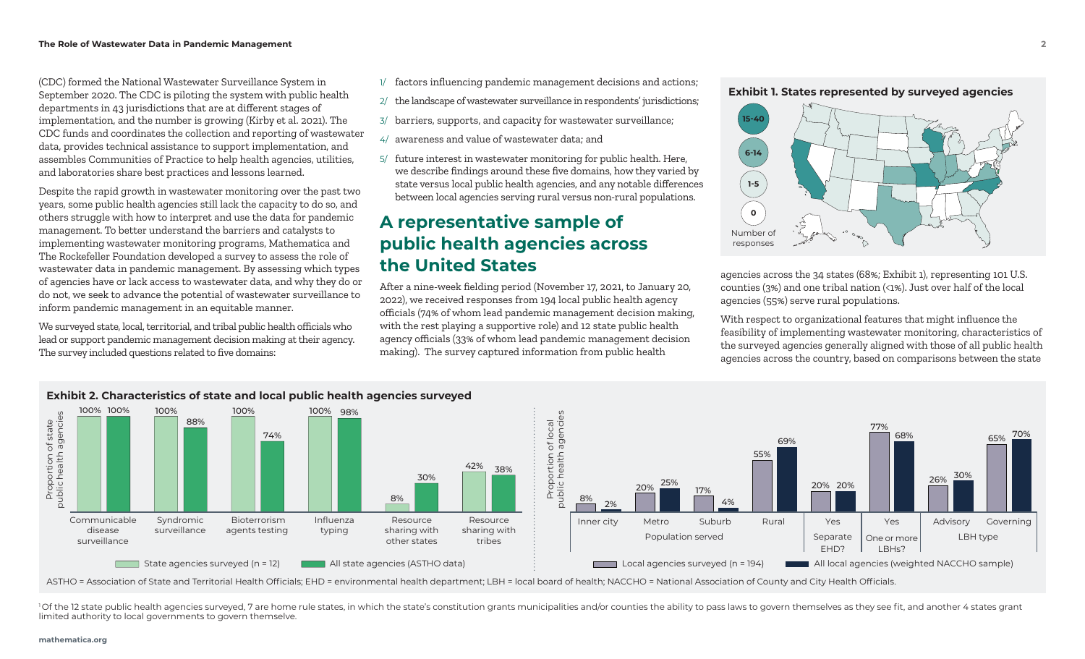**Exhibit 1. States represented by surveyed agencies** (CDC) formed the National Wastewater Surveillance System in September 2020. The CDC is piloting the system with public health departments in 43 jurisdictions that are at different stages of implementation, and the number is growing (Kirby et al. 2021). The CDC funds and coordinates the collection and reporting of wastewater data, provides technical assistance to support implementation, and assembles Communities of Practice to help health agencies, utilities, and laboratories share best practices and lessons learned.

Despite the rapid growth in wastewater monitoring over the past two years, some public health agencies still lack the capacity to do so, and others struggle with how to interpret and use the data for pandemic management. To better understand the barriers and catalysts to implementing wastewater monitoring programs, Mathematica and The Rockefeller Foundation developed a survey to assess the role of wastewater data in pandemic management. By assessing which types of agencies have or lack access to wastewater data, and why they do or do not, we seek to advance the potential of wastewater surveillance to inform pandemic management in an equitable manner.

We surveyed state, local, territorial, and tribal public health officials who lead or support pandemic management decision making at their agency. The survey included questions related to five domains:

- 1/ factors influencing pandemic management decisions and actions;
- 2/ the landscape of wastewater surveillance in respondents' jurisdictions;
- 3/ barriers, supports, and capacity for wastewater surveillance;
- 4/ awareness and value of wastewater data; and
- 5/ future interest in wastewater monitoring for public health. Here, we describe findings around these five domains, how they varied by state versus local public health agencies, and any notable differences between local agencies serving rural versus non-rural populations.

## **A representative sample of public health agencies across the United States**

After a nine-week fielding period (November 17, 2021, to January 20, 2022), we received responses from 194 local public health agency officials (74% of whom lead pandemic management decision making, with the rest playing a supportive role) and 12 state public health agency officials (33% of whom lead pandemic management decision making). The survey captured information from public health





agencies across the 34 states (68%; Exhibit 1), representing 101 U.S. counties (3%) and one tribal nation (<1%). Just over half of the local agencies (55%) serve rural populations.

With respect to organizational features that might influence the feasibility of implementing wastewater monitoring, characteristics of the surveyed agencies generally aligned with those of all public health agencies across the country, based on comparisons between the state



ASTHO = Association of State and Territorial Health Officials; EHD = environmental health department; LBH = local board of health; NACCHO = National Association of County and City Health Officials.

<sup>1</sup>Of the 12 state public health agencies surveyed, 7 are home rule states, in which the state's constitution grants municipalities and/or counties the ability to pass laws to govern themselves as they see fit, and another limited authority to local governments to govern themselve.

#### **mathematica.org**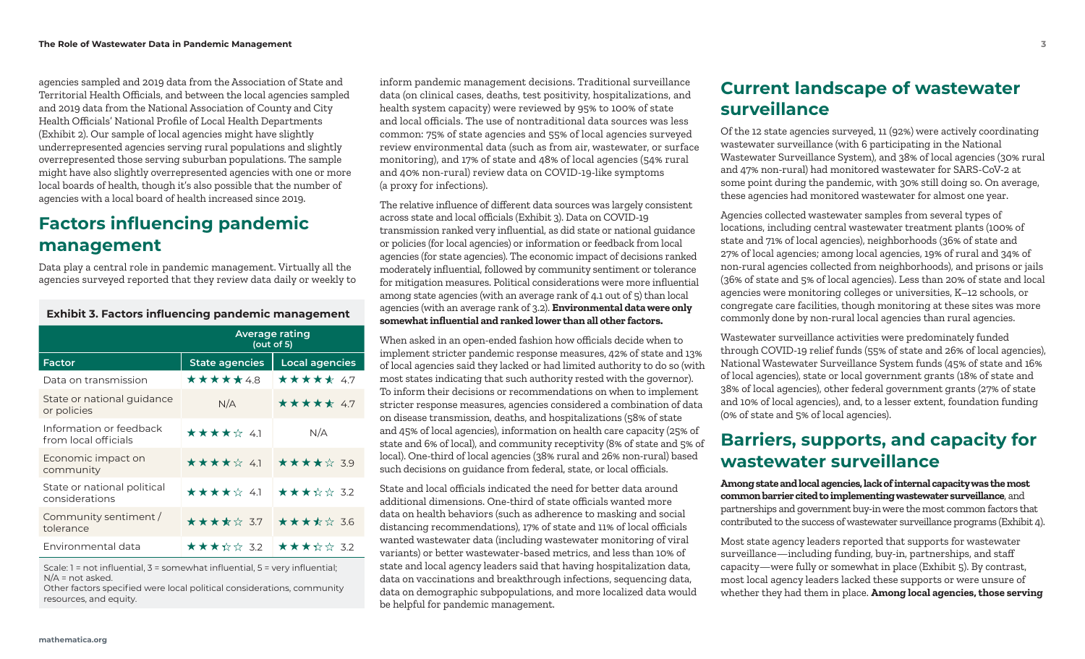agencies sampled and 2019 data from the Association of State and Territorial Health Officials, and between the local agencies sampled and 2019 data from the National Association of County and City Health Officials' National Profile of Local Health Departments (Exhibit 2). Our sample of local agencies might have slightly underrepresented agencies serving rural populations and slightly overrepresented those serving suburban populations. The sample might have also slightly overrepresented agencies with one or more local boards of health, though it's also possible that the number of agencies with a local board of health increased since 2019.

## **Factors influencing pandemic management**

Data play a central role in pandemic management. Virtually all the agencies surveyed reported that they review data daily or weekly to

|                                                 | Average rating<br>(out of 5) |                                     |
|-------------------------------------------------|------------------------------|-------------------------------------|
| <b>Factor</b>                                   | <b>State agencies</b>        | <b>Local agencies</b>               |
| Data on transmission                            | *****48                      | ***** 4.7                           |
| State or national guidance<br>or policies       | N/A                          | ***** 47                            |
| Information or feedback<br>from local officials | ★★★★☆ 41                     | N/A                                 |
| Economic impact on<br>community                 | ★★★★☆ 41                     | ★★★★☆ 39                            |
| State or national political<br>considerations   | ★★★★☆ 41                     | $\star \star \star \star \star$ 32  |
| Community sentiment /<br>tolerance              | ★★★★☆ 3.7                    | $\star \star \star \star \star$ 3.6 |
| Environmental data                              | ★★★☆☆ 3.2                    | ★★★☆☆ 3.2                           |

**Exhibit 3. Factors influencing pandemic management**

Scale: 1 = not influential, 3 = somewhat influential, 5 = very influential; N/A = not asked.

Other factors specified were local political considerations, community resources, and equity.

inform pandemic management decisions. Traditional surveillance data (on clinical cases, deaths, test positivity, hospitalizations, and health system capacity) were reviewed by 95% to 100% of state and local officials. The use of nontraditional data sources was less common: 75% of state agencies and 55% of local agencies surveyed review environmental data (such as from air, wastewater, or surface monitoring), and 17% of state and 48% of local agencies (54% rural and 40% non-rural) review data on COVID-19-like symptoms (a proxy for infections).

The relative influence of different data sources was largely consistent across state and local officials (Exhibit 3). Data on COVID-19 transmission ranked very influential, as did state or national guidance or policies (for local agencies) or information or feedback from local agencies (for state agencies). The economic impact of decisions ranked moderately influential, followed by community sentiment or tolerance for mitigation measures. Political considerations were more influential among state agencies (with an average rank of 4.1 out of 5) than local agencies (with an average rank of 3.2). **Environmental data were only somewhat influential and ranked lower than all other factors.**

When asked in an open-ended fashion how officials decide when to implement stricter pandemic response measures, 42% of state and 13% of local agencies said they lacked or had limited authority to do so (with most states indicating that such authority rested with the governor). To inform their decisions or recommendations on when to implement stricter response measures, agencies considered a combination of data on disease transmission, deaths, and hospitalizations (58% of state and 45% of local agencies), information on health care capacity (25% of state and 6% of local), and community receptivity (8% of state and 5% of local). One-third of local agencies (38% rural and 26% non-rural) based such decisions on guidance from federal, state, or local officials.

State and local officials indicated the need for better data around additional dimensions. One-third of state officials wanted more data on health behaviors (such as adherence to masking and social distancing recommendations), 17% of state and 11% of local officials wanted wastewater data (including wastewater monitoring of viral variants) or better wastewater-based metrics, and less than 10% of state and local agency leaders said that having hospitalization data, data on vaccinations and breakthrough infections, sequencing data, data on demographic subpopulations, and more localized data would be helpful for pandemic management.

## **Current landscape of wastewater surveillance**

Of the 12 state agencies surveyed, 11 (92%) were actively coordinating wastewater surveillance (with 6 participating in the National Wastewater Surveillance System), and 38% of local agencies (30% rural and 47% non-rural) had monitored wastewater for SARS-CoV-2 at some point during the pandemic, with 30% still doing so. On average, these agencies had monitored wastewater for almost one year.

Agencies collected wastewater samples from several types of locations, including central wastewater treatment plants (100% of state and 71% of local agencies), neighborhoods (36% of state and 27% of local agencies; among local agencies, 19% of rural and 34% of non-rural agencies collected from neighborhoods), and prisons or jails (36% of state and 5% of local agencies). Less than 20% of state and local agencies were monitoring colleges or universities, K–12 schools, or congregate care facilities, though monitoring at these sites was more commonly done by non-rural local agencies than rural agencies.

Wastewater surveillance activities were predominately funded through COVID-19 relief funds (55% of state and 26% of local agencies), National Wastewater Surveillance System funds (45% of state and 16% of local agencies), state or local government grants (18% of state and 38% of local agencies), other federal government grants (27% of state and 10% of local agencies), and, to a lesser extent, foundation funding (0% of state and 5% of local agencies).

## **Barriers, supports, and capacity for wastewater surveillance**

**Among state and local agencies, lack of internal capacity was the most common barrier cited to implementing wastewater surveillance**, and partnerships and government buy-in were the most common factors that contributed to the success of wastewater surveillance programs (Exhibit 4).

Most state agency leaders reported that supports for wastewater surveillance—including funding, buy-in, partnerships, and staff capacity—were fully or somewhat in place (Exhibit 5). By contrast, most local agency leaders lacked these supports or were unsure of whether they had them in place. **Among local agencies, those serving**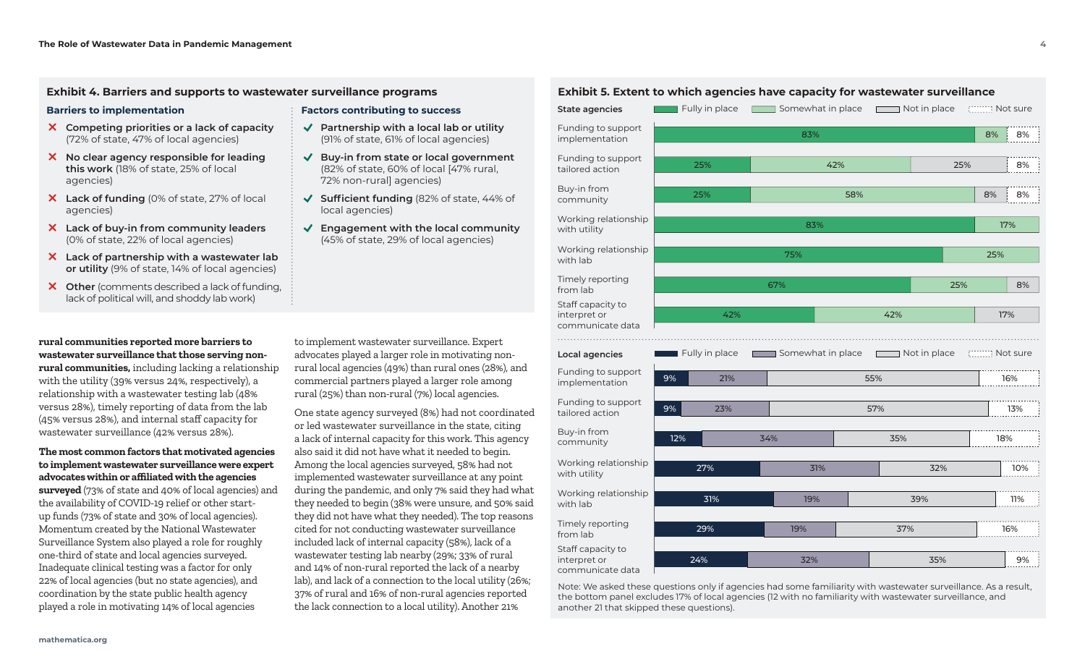#### **Exhibit 4. Barriers and supports to wastewater surveillance programs**

#### **Barriers to implementation**

- **Competing priorities or a lack of capacity**  (72% of state, 47% of local agencies)
- **No clear agency responsible for leading this work** (18% of state, 25% of local agencies)
- **Lack of funding** (0% of state, 27% of local agencies)
- **Lack of buy-in from community leaders**  (0% of state, 22% of local agencies)
- **Lack of partnership with a wastewater lab or utility** (9% of state, 14% of local agencies)
- **Other** (comments described a lack of funding, lack of political will, and shoddy lab work)

**rural communities reported more barriers to wastewater surveillance that those serving nonrural communities,** including lacking a relationship with the utility (39% versus 24%, respectively), a relationship with a wastewater testing lab (48% versus 28%), timely reporting of data from the lab (45% versus 28%), and internal staff capacity for wastewater surveillance (42% versus 28%).

#### **The most common factors that motivated agencies to implement wastewater surveillance were expert advocates within or affiliated with the agencies**

**surveyed** (73% of state and 40% of local agencies) and the availability of COVID-19 relief or other startup funds (73% of state and 30% of local agencies). Momentum created by the National Wastewater Surveillance System also played a role for roughly one-third of state and local agencies surveyed. Inadequate clinical testing was a factor for only 22% of local agencies (but no state agencies), and coordination by the state public health agency played a role in motivating 14% of local agencies

to implement wastewater surveillance. Expert advocates played a larger role in motivating nonrural local agencies (49%) than rural ones (28%), and commercial partners played a larger role among rural (25%) than non-rural (7%) local agencies.

**Factors contributing to success**

72% non-rural] agencies)

local agencies)

� **Partnership with a local lab or utility**  (91% of state, 61% of local agencies) � **Buy-in from state or local government**  (82% of state, 60% of local [47% rural,

� **Sufficient funding** (82% of state, 44% of

� **Engagement with the local community** (45% of state, 29% of local agencies)

One state agency surveyed (8%) had not coordinated or led wastewater surveillance in the state, citing a lack of internal capacity for this work. This agency also said it did not have what it needed to begin. Among the local agencies surveyed, 58% had not implemented wastewater surveillance at any point during the pandemic, and only 7% said they had what they needed to begin (38% were unsure, and 50% said they did not have what they needed). The top reasons cited for not conducting wastewater surveillance included lack of internal capacity (58%), lack of a wastewater testing lab nearby (29%; 33% of rural and 14% of non-rural reported the lack of a nearby lab), and lack of a connection to the local utility (26%; 37% of rural and 16% of non-rural agencies reported the lack connection to a local utility). Another 21%



Note: We asked these questions only if agencies had some familiarity with wastewater surveillance. As a result, the bottom panel excludes 17% of local agencies (12 with no familiarity with wastewater surveillance, and another 21 that skipped these questions).

#### **Exhibit 5. Extent to which agencies have capacity for wastewater surveillance**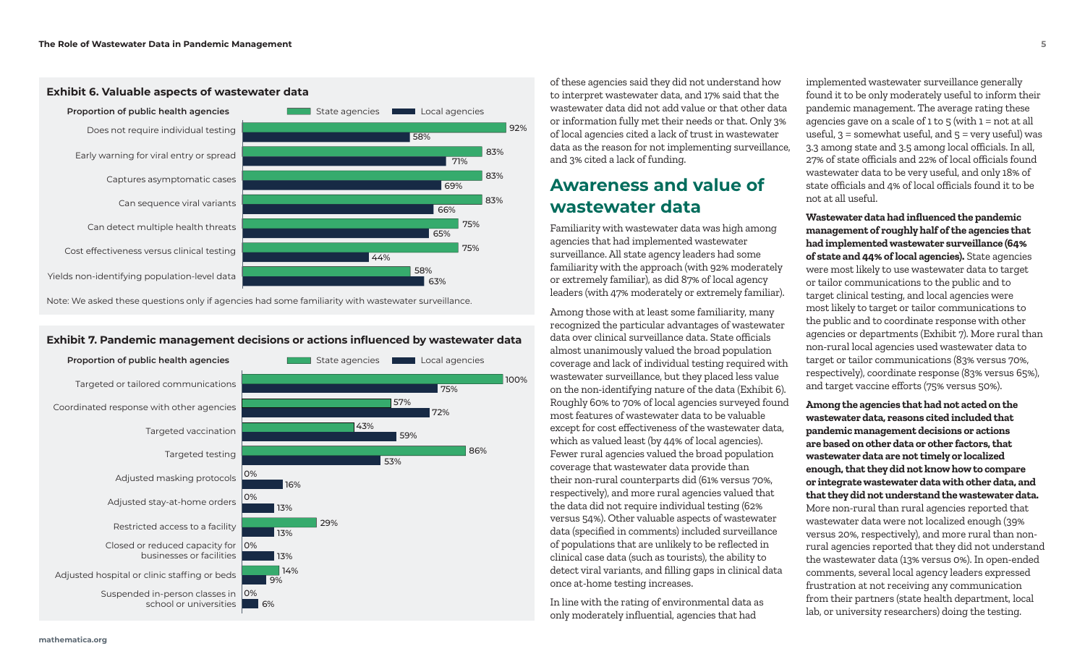

### **Exhibit 6. Valuable aspects of wastewater data**

Note: We asked these questions only if agencies had some familiarity with wastewater surveillance.

#### **Exhibit 7. Pandemic management decisions or actions influenced by wastewater data**



of these agencies said they did not understand how to interpret wastewater data, and 17% said that the wastewater data did not add value or that other data or information fully met their needs or that. Only 3% of local agencies cited a lack of trust in wastewater data as the reason for not implementing surveillance, and 3% cited a lack of funding.

## **Awareness and value of wastewater data**

Familiarity with wastewater data was high among agencies that had implemented wastewater surveillance. All state agency leaders had some familiarity with the approach (with 92% moderately or extremely familiar), as did 87% of local agency leaders (with 47% moderately or extremely familiar).

Among those with at least some familiarity, many recognized the particular advantages of wastewater data over clinical surveillance data. State officials almost unanimously valued the broad population coverage and lack of individual testing required with wastewater surveillance, but they placed less value on the non-identifying nature of the data (Exhibit 6). Roughly 60% to 70% of local agencies surveyed found most features of wastewater data to be valuable except for cost effectiveness of the wastewater data, which as valued least (by 44% of local agencies). Fewer rural agencies valued the broad population coverage that wastewater data provide than their non-rural counterparts did (61% versus 70%, respectively), and more rural agencies valued that the data did not require individual testing (62% versus 54%). Other valuable aspects of wastewater data (specified in comments) included surveillance of populations that are unlikely to be reflected in clinical case data (such as tourists), the ability to detect viral variants, and filling gaps in clinical data once at-home testing increases.

In line with the rating of environmental data as only moderately influential, agencies that had

implemented wastewater surveillance generally found it to be only moderately useful to inform their pandemic management. The average rating these agencies gave on a scale of  $1$  to  $5$  (with  $1 =$  not at all useful,  $3 =$  somewhat useful, and  $5 =$  very useful) was 3.3 among state and 3.5 among local officials. In all, 27% of state officials and 22% of local officials found wastewater data to be very useful, and only 18% of state officials and 4% of local officials found it to be not at all useful.

**Wastewater data had influenced the pandemic management of roughly half of the agencies that had implemented wastewater surveillance (64% of state and 44% of local agencies).** State agencies were most likely to use wastewater data to target or tailor communications to the public and to target clinical testing, and local agencies were most likely to target or tailor communications to the public and to coordinate response with other agencies or departments (Exhibit 7). More rural than non-rural local agencies used wastewater data to target or tailor communications (83% versus 70%, respectively), coordinate response (83% versus 65%), and target vaccine efforts (75% versus 50%).

**Among the agencies that had not acted on the wastewater data, reasons cited included that pandemic management decisions or actions are based on other data or other factors, that wastewater data are not timely or localized enough, that they did not know how to compare or integrate wastewater data with other data, and that they did not understand the wastewater data.** More non-rural than rural agencies reported that wastewater data were not localized enough (39% versus 20%, respectively), and more rural than nonrural agencies reported that they did not understand the wastewater data (13% versus 0%). In open-ended comments, several local agency leaders expressed frustration at not receiving any communication from their partners (state health department, local lab, or university researchers) doing the testing.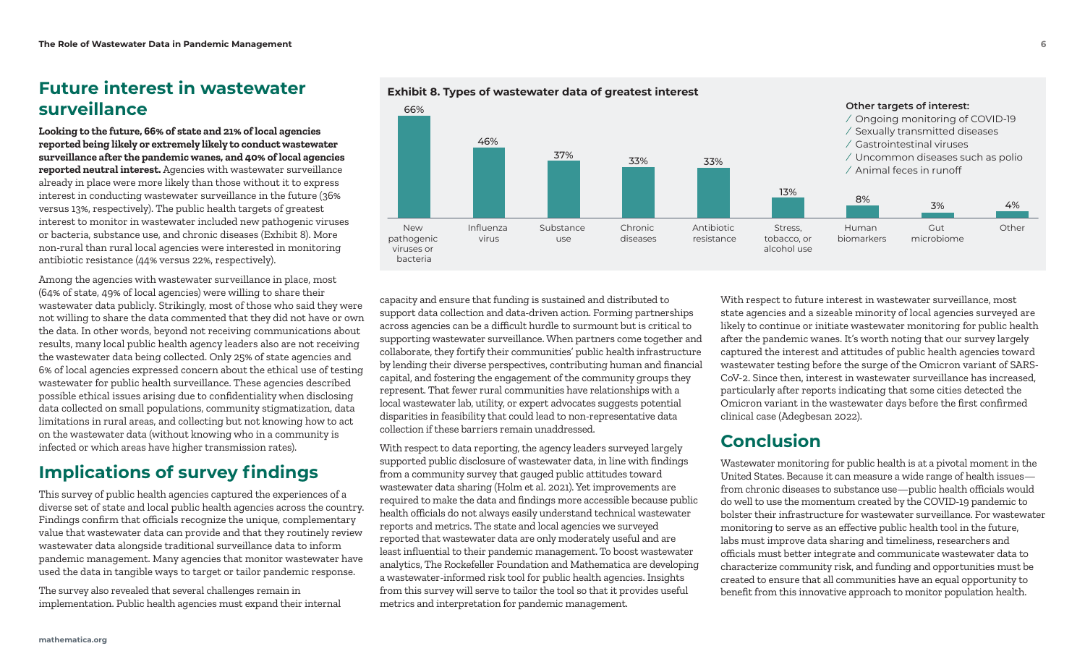## **Future interest in wastewater** Exhibit 8. Types of wastewater data of greatest interest **surveillance**

**Looking to the future, 66% of state and 21% of local agencies reported being likely or extremely likely to conduct wastewater surveillance after the pandemic wanes, and 40% of local agencies reported neutral interest.** Agencies with wastewater surveillance already in place were more likely than those without it to express interest in conducting wastewater surveillance in the future (36% versus 13%, respectively). The public health targets of greatest interest to monitor in wastewater included new pathogenic viruses or bacteria, substance use, and chronic diseases (Exhibit 8). More non-rural than rural local agencies were interested in monitoring antibiotic resistance (44% versus 22%, respectively).

Among the agencies with wastewater surveillance in place, most (64% of state, 49% of local agencies) were willing to share their wastewater data publicly. Strikingly, most of those who said they were not willing to share the data commented that they did not have or own the data. In other words, beyond not receiving communications about results, many local public health agency leaders also are not receiving the wastewater data being collected. Only 25% of state agencies and 6% of local agencies expressed concern about the ethical use of testing wastewater for public health surveillance. These agencies described possible ethical issues arising due to confidentiality when disclosing data collected on small populations, community stigmatization, data limitations in rural areas, and collecting but not knowing how to act on the wastewater data (without knowing who in a community is infected or which areas have higher transmission rates).

## **Implications of survey findings**

This survey of public health agencies captured the experiences of a diverse set of state and local public health agencies across the country. Findings confirm that officials recognize the unique, complementary value that wastewater data can provide and that they routinely review wastewater data alongside traditional surveillance data to inform pandemic management. Many agencies that monitor wastewater have used the data in tangible ways to target or tailor pandemic response.

The survey also revealed that several challenges remain in implementation. Public health agencies must expand their internal

capacity and ensure that funding is sustained and distributed to support data collection and data-driven action. Forming partnerships across agencies can be a difficult hurdle to surmount but is critical to supporting wastewater surveillance. When partners come together and collaborate, they fortify their communities' public health infrastructure by lending their diverse perspectives, contributing human and financial capital, and fostering the engagement of the community groups they represent. That fewer rural communities have relationships with a local wastewater lab, utility, or expert advocates suggests potential disparities in feasibility that could lead to non-representative data collection if these barriers remain unaddressed.

With respect to data reporting, the agency leaders surveyed largely supported public disclosure of wastewater data, in line with findings from a community survey that gauged public attitudes toward wastewater data sharing (Holm et al. 2021). Yet improvements are required to make the data and findings more accessible because public health officials do not always easily understand technical wastewater reports and metrics. The state and local agencies we surveyed reported that wastewater data are only moderately useful and are least influential to their pandemic management. To boost wastewater analytics, The Rockefeller Foundation and Mathematica are developing a wastewater-informed risk tool for public health agencies. Insights from this survey will serve to tailor the tool so that it provides useful metrics and interpretation for pandemic management.

With respect to future interest in wastewater surveillance, most state agencies and a sizeable minority of local agencies surveyed are likely to continue or initiate wastewater monitoring for public health after the pandemic wanes. It's worth noting that our survey largely captured the interest and attitudes of public health agencies toward wastewater testing before the surge of the Omicron variant of SARS-CoV-2. Since then, interest in wastewater surveillance has increased, particularly after reports indicating that some cities detected the Omicron variant in the wastewater days before the first confirmed clinical case (Adegbesan 2022).

## **Conclusion**

Wastewater monitoring for public health is at a pivotal moment in the United States. Because it can measure a wide range of health issues from chronic diseases to substance use—public health officials would do well to use the momentum created by the COVID-19 pandemic to bolster their infrastructure for wastewater surveillance. For wastewater monitoring to serve as an effective public health tool in the future, labs must improve data sharing and timeliness, researchers and officials must better integrate and communicate wastewater data to characterize community risk, and funding and opportunities must be created to ensure that all communities have an equal opportunity to benefit from this innovative approach to monitor population health.